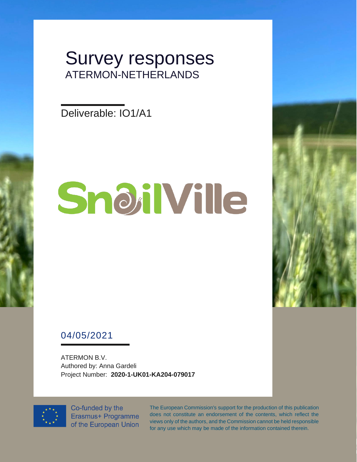# Survey responses ATERMON-NETHERLANDS

Deliverable: IO1/A1

# SnoilVille



ATERMON B.V. Authored by: Anna Gardeli Project Number: **2020-1-UK01-KA204-079017**



Co-funded by the Erasmus+ Programme of the European Union The European Commission's support for the production of this publication does not constitute an endorsement of the contents, which reflect the views only of the authors, and the Commission cannot be held responsible for any use which may be made of the information contained therein.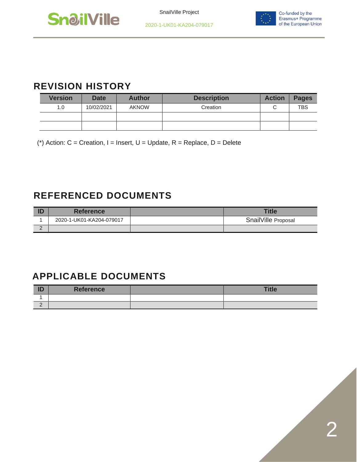



## **REVISION HISTORY**

| <b>Version</b> | <b>Date</b> | <b>Author</b> | <b>Description</b> | <b>Action</b> | <b>Pages</b> |
|----------------|-------------|---------------|--------------------|---------------|--------------|
| 1.0            | 10/02/2021  | <b>AKNOW</b>  | Creation           |               | <b>TBS</b>   |
|                |             |               |                    |               |              |
|                |             |               |                    |               |              |

(\*) Action:  $C =$  Creation, I = Insert, U = Update, R = Replace, D = Delete

## **REFERENCED DOCUMENTS**

|   | <b>Reference</b>         | <b>Title</b>        |
|---|--------------------------|---------------------|
|   | 2020-1-UK01-KA204-079017 | SnailVille Proposal |
| - |                          |                     |

# **APPLICABLE DOCUMENTS**

| ID       | <b>Reference</b> | <b>Title</b> |
|----------|------------------|--------------|
|          |                  |              |
| <u>_</u> |                  |              |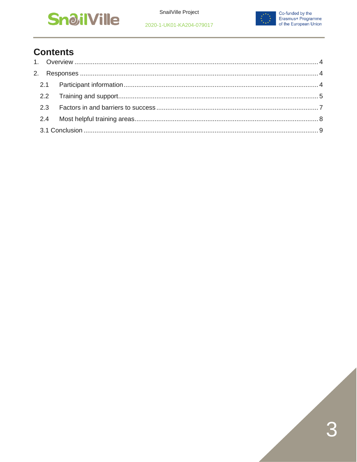



## **Contents**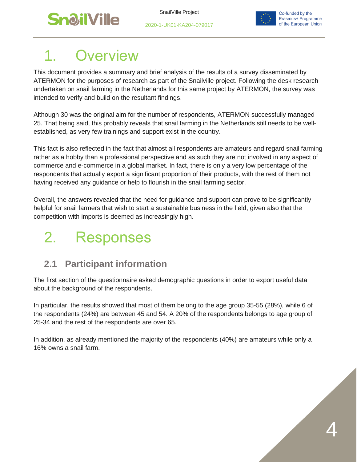



# <span id="page-3-0"></span>**Overview**

This document provides a summary and brief analysis of the results of a survey disseminated by ATERMON for the purposes of research as part of the Snailville project. Following the desk research undertaken on snail farming in the Netherlands for this same project by ATERMON, the survey was intended to verify and build on the resultant findings.

Although 30 was the original aim for the number of respondents, ATERMON successfully managed 25. That being said, this probably reveals that snail farming in the Netherlands still needs to be wellestablished, as very few trainings and support exist in the country.

This fact is also reflected in the fact that almost all respondents are amateurs and regard snail farming rather as a hobby than a professional perspective and as such they are not involved in any aspect of commerce and e-commerce in a global market. In fact, there is only a very low percentage of the respondents that actually export a significant proportion of their products, with the rest of them not having received any guidance or help to flourish in the snail farming sector.

Overall, the answers revealed that the need for guidance and support can prove to be significantly helpful for snail farmers that wish to start a sustainable business in the field, given also that the competition with imports is deemed as increasingly high.

# <span id="page-3-1"></span>2. Responses

# <span id="page-3-2"></span>**2.1 Participant information**

The first section of the questionnaire asked demographic questions in order to export useful data about the background of the respondents.

In particular, the results showed that most of them belong to the age group 35-55 (28%), while 6 of the respondents (24%) are between 45 and 54. A 20% of the respondents belongs to age group of 25-34 and the rest of the respondents are over 65.

In addition, as already mentioned the majority of the respondents (40%) are amateurs while only a 16% owns a snail farm.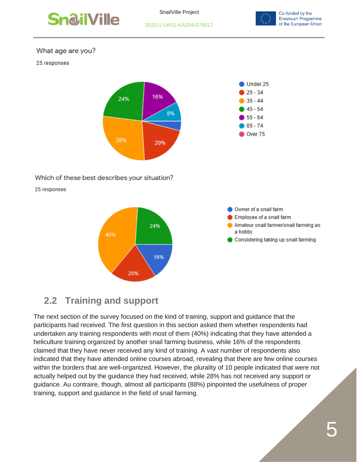

SnailVille Project





#### What age are you?

#### 25 responses



#### Which of these best describes your situation?

25 responses





# <span id="page-4-0"></span>**2.2 Training and support**

The next section of the survey focused on the kind of training, support and guidance that the participants had received. The first question in this section asked them whether respondents had undertaken any training respondents with most of them (40%) indicating that they have attended a heliculture training organized by another snail farming business, while 16% of the respondents claimed that they have never received any kind of training. A vast number of respondents also indicated that they have attended online courses abroad, revealing that there are few online courses within the borders that are well-organized. However, the plurality of 10 people indicated that were not actually helped out by the guidance they had received, while 28% has not received any support or guidance. Au contraire, though, almost all participants (88%) pinpointed the usefulness of proper training, support and guidance in the field of snail farming.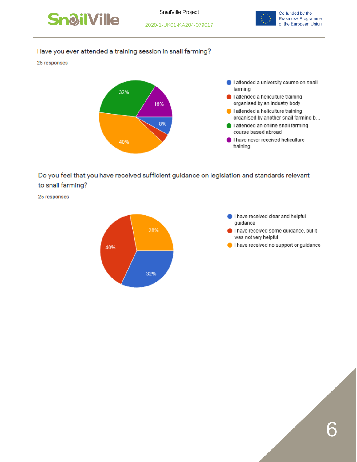



#### Have you ever attended a training session in snail farming?

25 responses



Do you feel that you have received sufficient guidance on legislation and standards relevant to snail farming?

25 responses



- I have received clear and helpful guidance
- I have received some guidance, but it was not very helpful
- I have received no support or guidance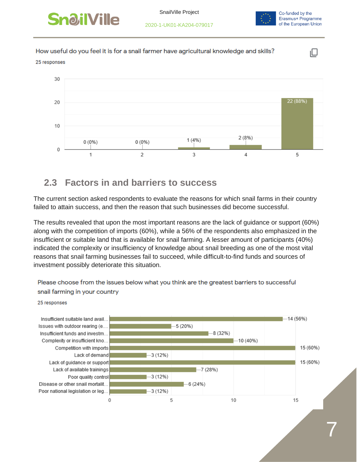



ıО

How useful do you feel it is for a snail farmer have agricultural knowledge and skills?

#### 25 responses



### <span id="page-6-0"></span>**2.3 Factors in and barriers to success**

The current section asked respondents to evaluate the reasons for which snail farms in their country failed to attain success, and then the reason that such businesses did become successful.

The results revealed that upon the most important reasons are the lack of guidance or support (60%) along with the competition of imports (60%), while a 56% of the respondents also emphasized in the insufficient or suitable land that is available for snail farming. A lesser amount of participants (40%) indicated the complexity or insufficiency of knowledge about snail breeding as one of the most vital reasons that snail farming businesses fail to succeed, while difficult-to-find funds and sources of investment possibly deteriorate this situation.

Insufficient suitable land avail.. -14 (56%) Issues with outdoor rearing (e...  $5(20%)$  $-8(32%)$ Insufficient funds and investm... Complexity or insufficient kno...  $-10(40%)$ Competition with imports 15 (60%) Lack of demand  $3(12%)$ Lack of guidance or support 15 (60%) Lack of available trainings  $-7(28%)$  $-3(12%)$ Poor quality control Disease or other snail mortalit... -6 (24%) Poor national legislation or leg...  $-3(12%)$ 0 5 10 15

Please choose from the issues below what you think are the greatest barriers to successful snail farming in your country

#### 25 responses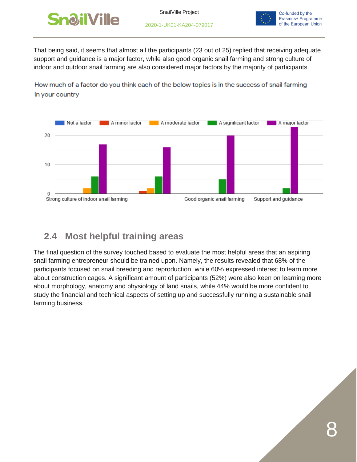



That being said, it seems that almost all the participants (23 out of 25) replied that receiving adequate support and guidance is a major factor, while also good organic snail farming and strong culture of indoor and outdoor snail farming are also considered major factors by the majority of participants.

How much of a factor do you think each of the below topics is in the success of snail farming in your country



# <span id="page-7-0"></span>**2.4 Most helpful training areas**

The final question of the survey touched based to evaluate the most helpful areas that an aspiring snail farming entrepreneur should be trained upon. Namely, the results revealed that 68% of the participants focused on snail breeding and reproduction, while 60% expressed interest to learn more about construction cages. A significant amount of participants (52%) were also keen on learning more about morphology, anatomy and physiology of land snails, while 44% would be more confident to study the financial and technical aspects of setting up and successfully running a sustainable snail farming business.